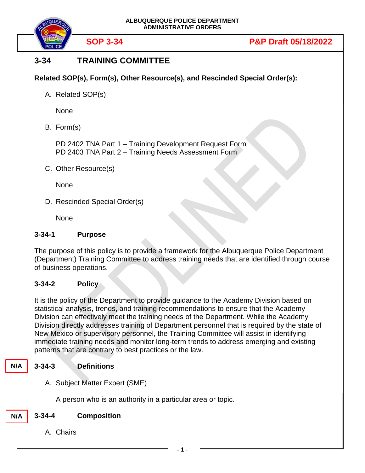

# **3-34 TRAINING COMMITTEE**

**Related SOP(s), Form(s), Other Resource(s), and Rescinded Special Order(s):**

A. Related SOP(s)

None

B. Form(s)

PD 2402 TNA Part 1 – Training Development Request Form PD 2403 TNA Part 2 – Training Needs Assessment Form

C. Other Resource(s)

None

D. Rescinded Special Order(s)

**None** 

## **3-34-1 Purpose**

The purpose of this policy is to provide a framework for the Albuquerque Police Department (Department) Training Committee to address training needs that are identified through course of business operations.

## **3-34-2 Policy**

It is the policy of the Department to provide guidance to the Academy Division based on statistical analysis, trends, and training recommendations to ensure that the Academy Division can effectively meet the training needs of the Department. While the Academy Division directly addresses training of Department personnel that is required by the state of New Mexico or supervisory personnel, the Training Committee will assist in identifying immediate training needs and monitor long-term trends to address emerging and existing patterns that are contrary to best practices or the law.

#### **3-34-3 Definitions N/A**

A. Subject Matter Expert (SME)

A person who is an authority in a particular area or topic.

**N/A**

- **3-34-4 Composition**
	- A. Chairs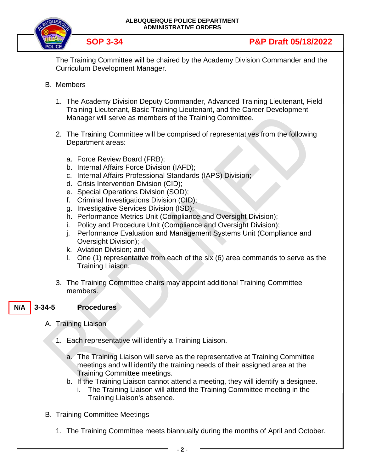

**SOP 3-34 P&P Draft 05/18/2022**

The Training Committee will be chaired by the Academy Division Commander and the Curriculum Development Manager.

- B. Members
	- 1. The Academy Division Deputy Commander, Advanced Training Lieutenant, Field Training Lieutenant, Basic Training Lieutenant, and the Career Development Manager will serve as members of the Training Committee.
	- 2. The Training Committee will be comprised of representatives from the following Department areas:
		- a. Force Review Board (FRB);
		- b. Internal Affairs Force Division (IAFD);
		- c. Internal Affairs Professional Standards (IAPS) Division;
		- d. Crisis Intervention Division (CID);
		- e. Special Operations Division (SOD);
		- f. Criminal Investigations Division (CID);
		- g. Investigative Services Division (ISD);
		- h. Performance Metrics Unit (Compliance and Oversight Division);
		- i. Policy and Procedure Unit (Compliance and Oversight Division);
		- j. Performance Evaluation and Management Systems Unit (Compliance and Oversight Division);
		- k. Aviation Division; and
		- l. One (1) representative from each of the six (6) area commands to serve as the Training Liaison.
	- 3. The Training Committee chairs may appoint additional Training Committee members.

#### **3-34-5 Procedures N/A**

- A. Training Liaison
	- 1. Each representative will identify a Training Liaison.
		- a. The Training Liaison will serve as the representative at Training Committee meetings and will identify the training needs of their assigned area at the Training Committee meetings.
		- b. If the Training Liaison cannot attend a meeting, they will identify a designee.
			- i. The Training Liaison will attend the Training Committee meeting in the Training Liaison's absence.
- B. Training Committee Meetings
	- 1. The Training Committee meets biannually during the months of April and October.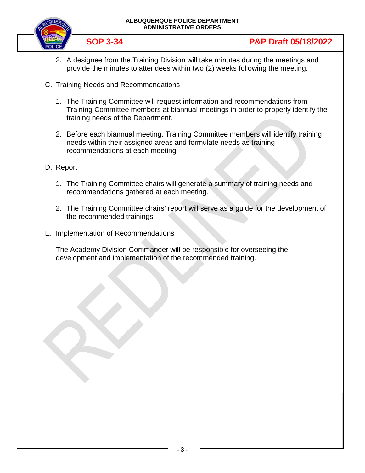

- 2. A designee from the Training Division will take minutes during the meetings and provide the minutes to attendees within two (2) weeks following the meeting.
- C. Training Needs and Recommendations
	- 1. The Training Committee will request information and recommendations from Training Committee members at biannual meetings in order to properly identify the training needs of the Department.
	- 2. Before each biannual meeting, Training Committee members will identify training needs within their assigned areas and formulate needs as training recommendations at each meeting.
- D. Report
	- 1. The Training Committee chairs will generate a summary of training needs and recommendations gathered at each meeting.
	- 2. The Training Committee chairs' report will serve as a guide for the development of the recommended trainings.
- E. Implementation of Recommendations

The Academy Division Commander will be responsible for overseeing the development and implementation of the recommended training.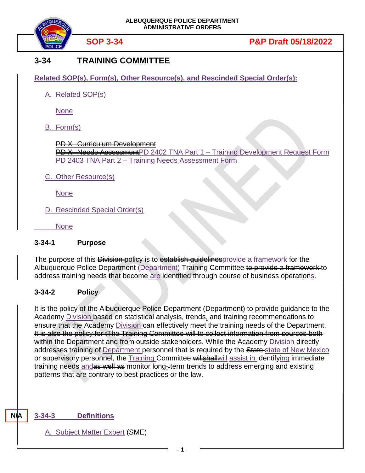

# **3-34 TRAINING COMMITTEE**

**Related SOP(s), Form(s), Other Resource(s), and Rescinded Special Order(s):**

A. Related SOP(s)

None

B. Form(s)

PD X Curriculum Development PD X Needs AssessmentPD 2402 TNA Part 1 - Training Development Request Form PD 2403 TNA Part 2 – Training Needs Assessment Form

C. Other Resource(s)

None

D. Rescinded Special Order(s)

None

## **3-34-1 Purpose**

The purpose of this Division-policy is to establish quidelines provide a framework for the Albuquerque Police Department (Department) Training Committee to provide a framework to address training needs that become are identified through course of business operations.

## **3-34-2 Policy**

It is the policy of the Albuquerque Police Department (Department) to provide guidance to the Academy Division based on statistical analysis, trends, and training recommendations to ensure that the Academy Division can effectively meet the training needs of the Department. It is also the policy for tThe Training Committee will to collect information from sources both within the Department and from outside stakeholders. While the Academy Division directly addresses training of Department personnel that is required by the State-state of New Mexico or supervisory personnel, the Training Committee will shall will assist in identifying immediate training needs and as well as monitor long-term trends to address emerging and existing patterns that are contrary to best practices or the law.

## **3-34-3 Definitions**

**N/A**

A. Subject Matter Expert (SME)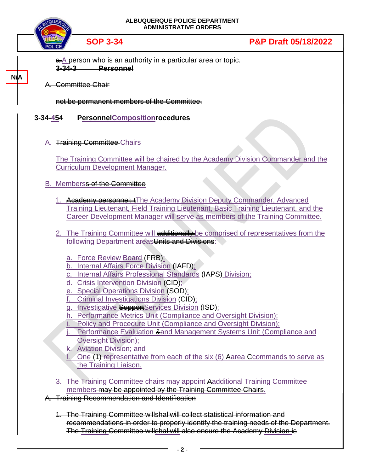

# **SOP 3-34 P&P Draft 05/18/2022**

 $\frac{a}{b}$  person who is an authority in a particular area or topic. **3-34-3 Personnel**

#### A. Committee Chair

**N/A**

not be permanent members of the Committee.

### **3-34-454 PersonnelCompositionrocedures**

#### A. Training Committee Chairs

The Training Committee will be chaired by the Academy Division Commander and the Curriculum Development Manager.

### B. Memberss of the Committee

- 1. Academy personnel: The Academy Division Deputy Commander, Advanced Training Lieutenant, Field Training Lieutenant, Basic Training Lieutenant, and the Career Development Manager will serve as members of the Training Committee.
- 2. The Training Committee will additionally be comprised of representatives from the following Department areasUnits and Divisions:
	- a. Force Review Board (FRB);
	- b. Internal Affairs Force Division (IAFD);
	- c. Internal Affairs Professional Standards (IAPS) Division;
	- d. Crisis Intervention Division (CID);
	- e. Special Operations Division (SOD);
	- f. Criminal Investigations Division (CID);
	- g. Investigative SupportServices Division (ISD);
	- h. Performance Metrics Unit (Compliance and Oversight Division);
	- Policy and Procedure Unit (Compliance and Oversight Division);
	- Performance Evaluation &and Management Systems Unit (Compliance and Oversight Division);

k. Aviation Division; and

- One (1) representative from each of the six (6) Aarea Commands to serve as the Training Liaison.
- 3. The Training Committee chairs may appoint Aadditional Training Committee members may be appointed by the Training Committee Chairs.
- A. Training Recommendation and Identification
	- 1. The Training Committee willshallwill collect statistical information and recommendations in order to properly identify the training needs of the Department. The Training Committee willshallwill also ensure the Academy Division is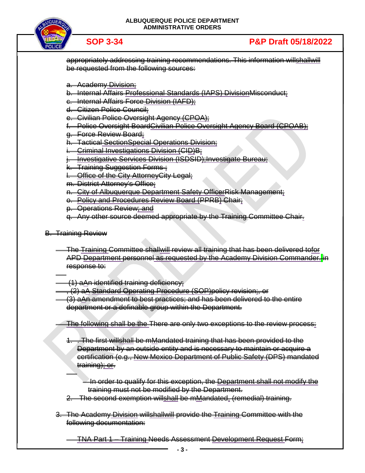

# **SOP 3-34 P&P Draft 05/18/2022**

appropriately addressing training recommendations. This information willshallwill be requested from the following sources:

a. Academy Division;

b. Internal Affairs Professional Standards (IAPS) DivisionMisconduct;

c. Internal Affairs Force Division (IAFD);

d. Citizen Police Council;

e. Civilian Police Oversight Agency (CPOA);

**Police Oversight BoardCivilian Police Oversight Agency Board (CPOAB):** 

g. Force Review Board;

h. Tactical SectionSpecial Operations Division;

i. Criminal Investigations Division (CID)B;

Investigative Services Division (ISDSID);Investigate Bureau;

k. Training Suggestion Forms :

l. Office of the City AttorneyCity Legal;

m. District Attorney's Office;

n. City of Albuquerque Department Safety OfficerRisk Management;

o. Policy and Procedures Review Board (PPRB) Chair;

p. Operations Review; and

q. Any other source deemed appropriate by the Training Committee Chair.

B. Training Review

The Training Committee shallwill review all training that has been delivered tofor APD <u>Department personnel as requested by the Academy Division Commander. in</u> response to:

(1) aAn identified training deficiency;

, (2) aA Standard Operating Procedure (SOP)policy revision;, or

(3) aAn amendment to best practices; and has been delivered to the entire department or a definable group within the Department.

The following shall be the There are only two exceptions to the review process:

The first willshall be mMandated training that has been provided to the Department by an outside entity and is necessary to maintain or acquire a certification (e.g., New Mexico Department of Public Safety (DPS) mandated training); or.

In order to qualify for this exception, the Department shall not modify the training must not be modified by the Department.

2. The second exemption willshall be mMandated, (remedial) training.

3. The Academy Division willshallwill provide the Training Committee with the following documentation:

TNA Part 1 – Training Needs Assessment Development Request Form;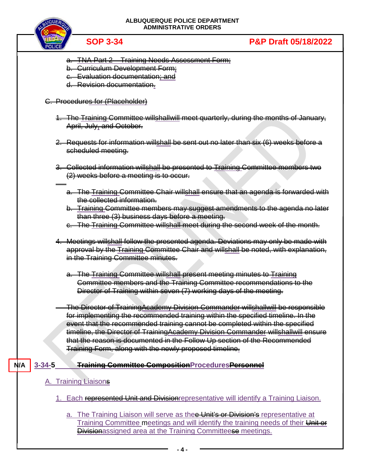

- a. TNA Part 2 Training Needs Assessment Form;
- b. Curriculum Development Form;
- c. Evaluation documentation; and
- d. Revision documentation.

### C. Procedures for (Placeholder)

- 1. The Training Committee willshallwill meet quarterly, during the months of January, April, July, and October.
- 2. Requests for information willshall be sent out no later than six (6) weeks before a scheduled meeting.
- 3. Collected information willshall be presented to Training Committee members two (2) weeks before a meeting is to occur.
	- a. The Training Committee Chair willshall ensure that an agenda is forwarded with the collected information.
	- b. Training Committee members may suggest amendments to the agenda no later than three (3) business days before a meeting.
	- c. The Training Committee willshall meet during the second week of the month.
- 4. Meetings willshall follow the presented agenda. Deviations may only be made with approval by the Training Committee Chair and willshall be noted, with explanation, in the Training Committee minutes.
	- a. The Training Committee willshall present meeting minutes to Training Committee members and the Training Committee recommendations to the Director of Training within seven (7) working days of the meeting.

The Director of TrainingAcademy Division Commander willshallwill be responsible for implementing the recommended training within the specified timeline. In the event that the recommended training cannot be completed within the specified timeline, the Director of TrainingAcademy Division Commander willshallwill ensure that the reason is documented in the Follow Up section of the Recommended Training Form, along with the newly proposed timeline.

#### **3-34-5 Training Committee CompositionProceduresPersonnel N/A**

#### A. Training Liaisons

- 1. Each represented Unit and Division representative will identify a Training Liaison.
	- a. The Training Liaison will serve as thee Unit's or Division's representative at Training Committee meetings and will identify the training needs of their Unit of **Divisionassigned area at the Training Committeese meetings.**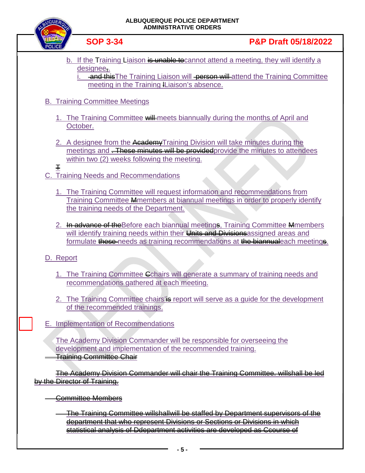

b. If the Training Liaison is unable to cannot attend a meeting, they will identify a designee..

**and this The Training Liaison will <del>person will</del> attend the Training Committee** meeting in the Training lLiaison's absence.

## B. Training Committee Meetings

- 1. The Training Committee will meets biannually during the months of April and October.
- 2. A designee from the AcademyTraining Division will take minutes during the meetings and **These minutes will be provided** provide the minutes to attendees within two (2) weeks following the meeting.
- T

C. Training Needs and Recommendations

- 1. The Training Committee will request information and recommendations from Training Committee Mmembers at biannual meetings in order to properly identify the training needs of the Department.
- 2. In advance of the Before each biannual meetings, Training Committee Memembers will identify training needs within their Units and Divisions assigned areas and formulate these-needs as training recommendations at the biannualeach meetings.

## D. Report

- 1. The Training Committee Cchairs will generate a summary of training needs and recommendations gathered at each meeting.
- 2. The Training Committee chairs' is report will serve as a quide for the development of the recommended trainings.
- E. Implementation of Recommendations

The Academy Division Commander will be responsible for overseeing the development and implementation of the recommended training. Training Committee Chair

The Academy Division Commander will chair the Training Committee. willshall be led by the Director of Training.

- Committee Members
	- The Training Committee willshallwill be staffed by Department supervisors of the department that who represent Divisions or Sections or Divisions in which statistical analysis of Ddepartment activities are developed as Ccourse of